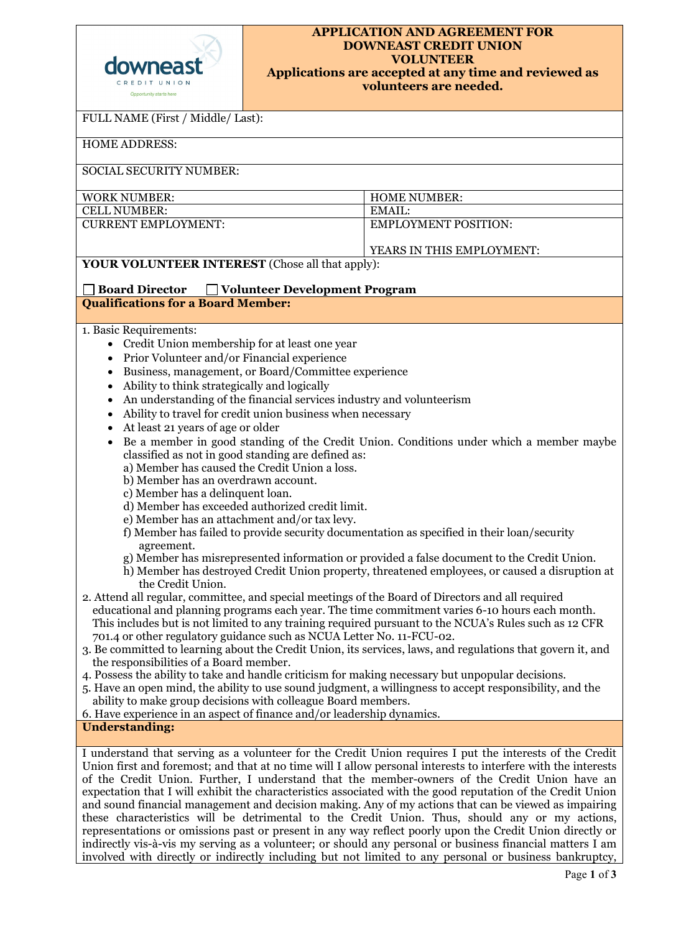| downeast                |
|-------------------------|
| CREDIT UNION            |
| Opportunity starts here |

## **APPLICATION AND AGREEMENT FOR DOWNEAST CREDIT UNION VOLUNTEER Applications are accepted at any time and reviewed as volunteers are needed.**

| FULL NAME (First / Middle/ Last):                                                                                                                                                                                                                                                                                                                                                                                                                                                                                                                                                                                                                                                                                                                                                                                                                                                                                                                                                                                                                                                                                                                                                                                                                                                                                                                                                                                                                                                                                                                                                                                                                                                                                                                                                                                                                                                                                      |                             |  |  |  |  |
|------------------------------------------------------------------------------------------------------------------------------------------------------------------------------------------------------------------------------------------------------------------------------------------------------------------------------------------------------------------------------------------------------------------------------------------------------------------------------------------------------------------------------------------------------------------------------------------------------------------------------------------------------------------------------------------------------------------------------------------------------------------------------------------------------------------------------------------------------------------------------------------------------------------------------------------------------------------------------------------------------------------------------------------------------------------------------------------------------------------------------------------------------------------------------------------------------------------------------------------------------------------------------------------------------------------------------------------------------------------------------------------------------------------------------------------------------------------------------------------------------------------------------------------------------------------------------------------------------------------------------------------------------------------------------------------------------------------------------------------------------------------------------------------------------------------------------------------------------------------------------------------------------------------------|-----------------------------|--|--|--|--|
| <b>HOME ADDRESS:</b>                                                                                                                                                                                                                                                                                                                                                                                                                                                                                                                                                                                                                                                                                                                                                                                                                                                                                                                                                                                                                                                                                                                                                                                                                                                                                                                                                                                                                                                                                                                                                                                                                                                                                                                                                                                                                                                                                                   |                             |  |  |  |  |
| <b>SOCIAL SECURITY NUMBER:</b>                                                                                                                                                                                                                                                                                                                                                                                                                                                                                                                                                                                                                                                                                                                                                                                                                                                                                                                                                                                                                                                                                                                                                                                                                                                                                                                                                                                                                                                                                                                                                                                                                                                                                                                                                                                                                                                                                         |                             |  |  |  |  |
| <b>WORK NUMBER:</b>                                                                                                                                                                                                                                                                                                                                                                                                                                                                                                                                                                                                                                                                                                                                                                                                                                                                                                                                                                                                                                                                                                                                                                                                                                                                                                                                                                                                                                                                                                                                                                                                                                                                                                                                                                                                                                                                                                    | <b>HOME NUMBER:</b>         |  |  |  |  |
| <b>CELL NUMBER:</b>                                                                                                                                                                                                                                                                                                                                                                                                                                                                                                                                                                                                                                                                                                                                                                                                                                                                                                                                                                                                                                                                                                                                                                                                                                                                                                                                                                                                                                                                                                                                                                                                                                                                                                                                                                                                                                                                                                    | EMAIL:                      |  |  |  |  |
| <b>CURRENT EMPLOYMENT:</b>                                                                                                                                                                                                                                                                                                                                                                                                                                                                                                                                                                                                                                                                                                                                                                                                                                                                                                                                                                                                                                                                                                                                                                                                                                                                                                                                                                                                                                                                                                                                                                                                                                                                                                                                                                                                                                                                                             | <b>EMPLOYMENT POSITION:</b> |  |  |  |  |
| YEARS IN THIS EMPLOYMENT:                                                                                                                                                                                                                                                                                                                                                                                                                                                                                                                                                                                                                                                                                                                                                                                                                                                                                                                                                                                                                                                                                                                                                                                                                                                                                                                                                                                                                                                                                                                                                                                                                                                                                                                                                                                                                                                                                              |                             |  |  |  |  |
| <b>YOUR VOLUNTEER INTEREST</b> (Chose all that apply):                                                                                                                                                                                                                                                                                                                                                                                                                                                                                                                                                                                                                                                                                                                                                                                                                                                                                                                                                                                                                                                                                                                                                                                                                                                                                                                                                                                                                                                                                                                                                                                                                                                                                                                                                                                                                                                                 |                             |  |  |  |  |
| <b>Board Director</b><br>Volunteer Development Program                                                                                                                                                                                                                                                                                                                                                                                                                                                                                                                                                                                                                                                                                                                                                                                                                                                                                                                                                                                                                                                                                                                                                                                                                                                                                                                                                                                                                                                                                                                                                                                                                                                                                                                                                                                                                                                                 |                             |  |  |  |  |
| <b>Qualifications for a Board Member:</b>                                                                                                                                                                                                                                                                                                                                                                                                                                                                                                                                                                                                                                                                                                                                                                                                                                                                                                                                                                                                                                                                                                                                                                                                                                                                                                                                                                                                                                                                                                                                                                                                                                                                                                                                                                                                                                                                              |                             |  |  |  |  |
| 1. Basic Requirements:<br>• Credit Union membership for at least one year<br>Prior Volunteer and/or Financial experience<br>$\bullet$<br>Business, management, or Board/Committee experience<br>٠<br>Ability to think strategically and logically<br>An understanding of the financial services industry and volunteerism<br>Ability to travel for credit union business when necessary<br>At least 21 years of age or older<br>Be a member in good standing of the Credit Union. Conditions under which a member maybe<br>٠<br>classified as not in good standing are defined as:<br>a) Member has caused the Credit Union a loss.<br>b) Member has an overdrawn account.<br>c) Member has a delinquent loan.<br>d) Member has exceeded authorized credit limit.<br>e) Member has an attachment and/or tax levy.<br>f) Member has failed to provide security documentation as specified in their loan/security<br>agreement.<br>g) Member has misrepresented information or provided a false document to the Credit Union.<br>h) Member has destroyed Credit Union property, threatened employees, or caused a disruption at<br>the Credit Union.<br>2. Attend all regular, committee, and special meetings of the Board of Directors and all required<br>educational and planning programs each year. The time commitment varies 6-10 hours each month.<br>This includes but is not limited to any training required pursuant to the NCUA's Rules such as 12 CFR<br>701.4 or other regulatory guidance such as NCUA Letter No. 11-FCU-02.<br>3. Be committed to learning about the Credit Union, its services, laws, and regulations that govern it, and<br>the responsibilities of a Board member.<br>4. Possess the ability to take and handle criticism for making necessary but unpopular decisions.<br>5. Have an open mind, the ability to use sound judgment, a willingness to accept responsibility, and the |                             |  |  |  |  |
| ability to make group decisions with colleague Board members.<br>6. Have experience in an aspect of finance and/or leadership dynamics.                                                                                                                                                                                                                                                                                                                                                                                                                                                                                                                                                                                                                                                                                                                                                                                                                                                                                                                                                                                                                                                                                                                                                                                                                                                                                                                                                                                                                                                                                                                                                                                                                                                                                                                                                                                |                             |  |  |  |  |
| <b>Understanding:</b>                                                                                                                                                                                                                                                                                                                                                                                                                                                                                                                                                                                                                                                                                                                                                                                                                                                                                                                                                                                                                                                                                                                                                                                                                                                                                                                                                                                                                                                                                                                                                                                                                                                                                                                                                                                                                                                                                                  |                             |  |  |  |  |
| I understand that serving as a volunteer for the Credit Union requires I put the interests of the Credit<br>Union first and foremost; and that at no time will I allow personal interests to interfere with the interests<br>of the Credit Union. Further, I understand that the member-owners of the Credit Union have an<br>expectation that I will exhibit the characteristics associated with the good reputation of the Credit Union<br>and sound financial management and decision making. Any of my actions that can be viewed as impairing<br>these characteristics will be detrimental to the Credit Union. Thus, should any or my actions,<br>representations or omissions past or present in any way reflect poorly upon the Credit Union directly or<br>indirectly vis-à-vis my serving as a volunteer; or should any personal or business financial matters I am<br>involved with directly or indirectly including but not limited to any personal or business bankruptcy,                                                                                                                                                                                                                                                                                                                                                                                                                                                                                                                                                                                                                                                                                                                                                                                                                                                                                                                                |                             |  |  |  |  |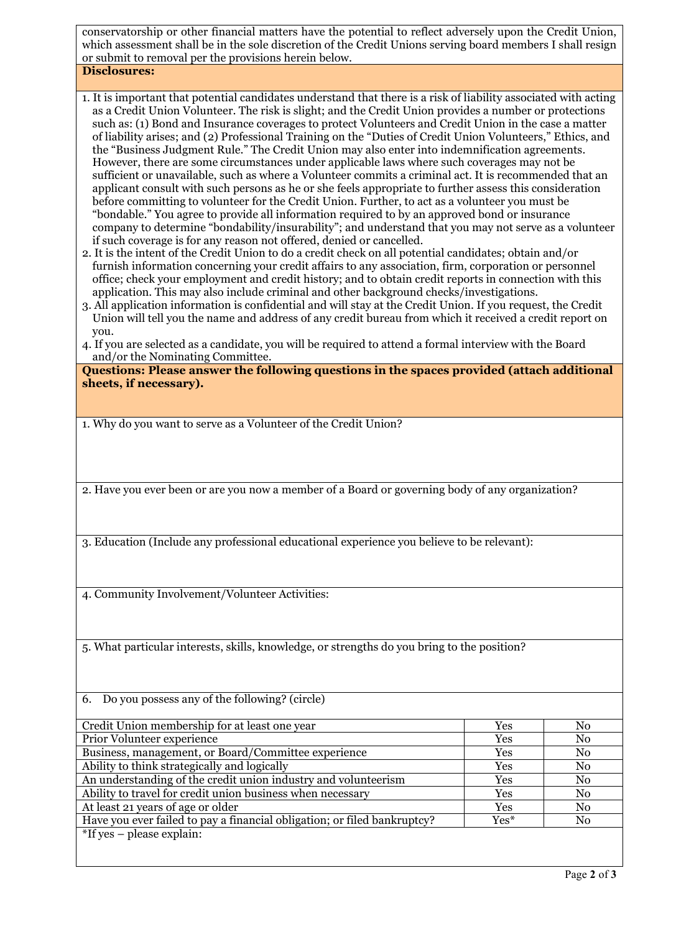conservatorship or other financial matters have the potential to reflect adversely upon the Credit Union, which assessment shall be in the sole discretion of the Credit Unions serving board members I shall resign or submit to removal per the provisions herein below.

**Disclosures:**

- 1. It is important that potential candidates understand that there is a risk of liability associated with acting as a Credit Union Volunteer. The risk is slight; and the Credit Union provides a number or protections such as: (1) Bond and Insurance coverages to protect Volunteers and Credit Union in the case a matter of liability arises; and (2) Professional Training on the "Duties of Credit Union Volunteers," Ethics, and the "Business Judgment Rule." The Credit Union may also enter into indemnification agreements. However, there are some circumstances under applicable laws where such coverages may not be sufficient or unavailable, such as where a Volunteer commits a criminal act. It is recommended that an applicant consult with such persons as he or she feels appropriate to further assess this consideration before committing to volunteer for the Credit Union. Further, to act as a volunteer you must be "bondable." You agree to provide all information required to by an approved bond or insurance company to determine "bondability/insurability"; and understand that you may not serve as a volunteer if such coverage is for any reason not offered, denied or cancelled.
- 2. It is the intent of the Credit Union to do a credit check on all potential candidates; obtain and/or furnish information concerning your credit affairs to any association, firm, corporation or personnel office; check your employment and credit history; and to obtain credit reports in connection with this application. This may also include criminal and other background checks/investigations.
- 3. All application information is confidential and will stay at the Credit Union. If you request, the Credit Union will tell you the name and address of any credit bureau from which it received a credit report on you.
- 4. If you are selected as a candidate, you will be required to attend a formal interview with the Board and/or the Nominating Committee.

**Questions: Please answer the following questions in the spaces provided (attach additional sheets, if necessary).**

1. Why do you want to serve as a Volunteer of the Credit Union?

2. Have you ever been or are you now a member of a Board or governing body of any organization?

3. Education (Include any professional educational experience you believe to be relevant):

4. Community Involvement/Volunteer Activities:

5. What particular interests, skills, knowledge, or strengths do you bring to the position?

| 6. Do you possess any of the following? (circle)                         |            |    |
|--------------------------------------------------------------------------|------------|----|
|                                                                          |            |    |
| Credit Union membership for at least one year                            | <b>Yes</b> | No |
| Prior Volunteer experience                                               | Yes        | No |
| Business, management, or Board/Committee experience                      | <b>Yes</b> | No |
| Ability to think strategically and logically                             | <b>Yes</b> | No |
| An understanding of the credit union industry and volunteerism           | <b>Yes</b> | No |
| Ability to travel for credit union business when necessary               | <b>Yes</b> | No |
| At least 21 years of age or older                                        | <b>Yes</b> | No |
| Have you ever failed to pay a financial obligation; or filed bankruptcy? | $Yes*$     | No |
| $*$ If yes – please explain:                                             |            |    |